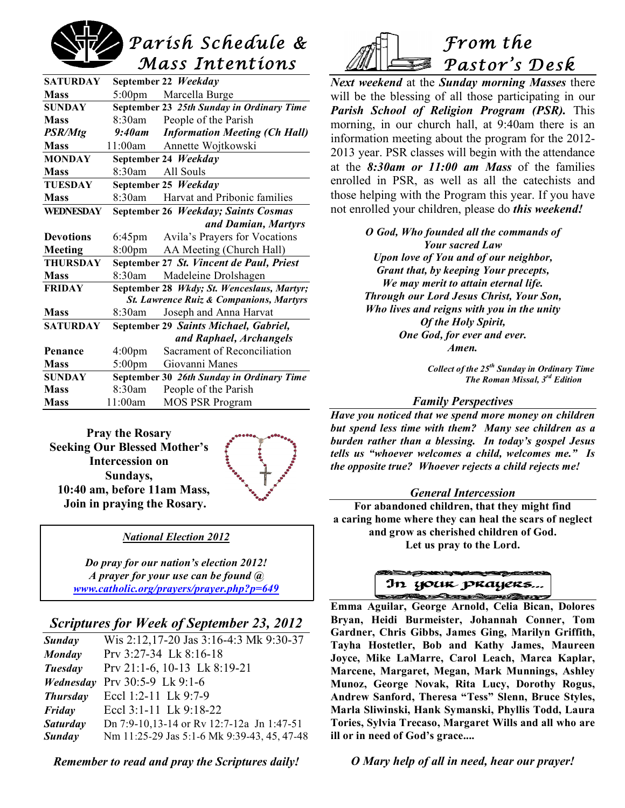# *Parish Schedule & Mass Intentions*

| <b>SATURDAY</b>                                    |                    | September 22 Weekday                       |
|----------------------------------------------------|--------------------|--------------------------------------------|
| <b>Mass</b>                                        | $5:00 \text{pm}$   | Marcella Burge                             |
| <b>SUNDAY</b>                                      |                    | September 23 25th Sunday in Ordinary Time  |
| <b>Mass</b>                                        | 8:30am             | People of the Parish                       |
| PSR/Mtg                                            | 9:40am             | <b>Information Meeting (Ch Hall)</b>       |
| <b>Mass</b>                                        | 11:00am            | Annette Wojtkowski                         |
| <b>MONDAY</b>                                      |                    | September 24 Weekday                       |
| <b>Mass</b>                                        | 8:30am             | All Souls                                  |
| <b>TUESDAY</b>                                     |                    | September 25 Weekday                       |
| <b>Mass</b>                                        | $8:30$ am          | Harvat and Pribonic families               |
| <b>WEDNESDAY</b>                                   |                    | September 26 Weekday; Saints Cosmas        |
|                                                    |                    | and Damian, Martyrs                        |
| <b>Devotions</b>                                   | $6:45$ pm          | Avila's Prayers for Vocations              |
| Meeting                                            | 8:00 <sub>pm</sub> | AA Meeting (Church Hall)                   |
| <b>THURSDAY</b>                                    |                    | September 27 St. Vincent de Paul, Priest   |
| <b>Mass</b>                                        | 8:30am             | Madeleine Drolshagen                       |
| <b>FRIDAY</b>                                      |                    | September 28 Wkdy; St. Wenceslaus, Martyr; |
| <b>St. Lawrence Ruiz &amp; Companions, Martyrs</b> |                    |                                            |
| <b>Mass</b>                                        | 8:30am             | Joseph and Anna Harvat                     |
| <b>SATURDAY</b>                                    |                    | September 29 Saints Michael, Gabriel,      |
|                                                    |                    | and Raphael, Archangels                    |
| Penance                                            | 4:00 <sub>pm</sub> | Sacrament of Reconciliation                |
| <b>Mass</b>                                        | $5:00$ pm          | Giovanni Manes                             |
| <b>SUNDAY</b>                                      |                    | September 30 26th Sunday in Ordinary Time  |
| <b>Mass</b>                                        | 8:30am             | People of the Parish                       |
| <b>Mass</b>                                        | 11:00am            | <b>MOS PSR Program</b>                     |

**Pray the Rosary Seeking Our Blessed Mother's Intercession on Sundays, 10:40 am, before 11am Mass, Join in praying the Rosary.**



#### *National Election 2012*

*Do pray for our nation's election 2012! A prayer for your use can be found @ www.catholic.org/prayers/prayer.php?p=649*

# *Scriptures for Week of September 23, 2012*

| Sunday          | Wis 2:12,17-20 Jas 3:16-4:3 Mk 9:30-37      |
|-----------------|---------------------------------------------|
| Monday          | Prv 3:27-34 Lk 8:16-18                      |
| Tuesday         | Prv 21:1-6, 10-13 Lk 8:19-21                |
| Wednesday       | Prv 30:5-9 Lk 9:1-6                         |
| <b>Thursday</b> | Eccl 1:2-11 Lk 9:7-9                        |
| Friday          | Eccl 3:1-11 Lk 9:18-22                      |
| <b>Saturday</b> | Dn 7:9-10,13-14 or Rv 12:7-12a Jn 1:47-51   |
| Sunday          | Nm 11:25-29 Jas 5:1-6 Mk 9:39-43, 45, 47-48 |
|                 |                                             |

*Remember to read and pray the Scriptures daily!*



*Next weekend* at the *Sunday morning Masses* there will be the blessing of all those participating in our *Parish School of Religion Program (PSR).* This morning, in our church hall, at 9:40am there is an information meeting about the program for the 2012- 2013 year. PSR classes will begin with the attendance at the *8:30am or 11:00 am Mass* of the families enrolled in PSR, as well as all the catechists and those helping with the Program this year. If you have not enrolled your children, please do *this weekend!*

> *O God, Who founded all the commands of Your sacred Law Upon love of You and of our neighbor, Grant that, by keeping Your precepts, We may merit to attain eternal life. Through our Lord Jesus Christ, Your Son, Who lives and reigns with you in the unity Of the Holy Spirit, One God, for ever and ever. Amen.*

> > *Collect of the 25th Sunday in Ordinary Time The Roman Missal, 3rd Edition*

#### *Family Perspectives*

*Have you noticed that we spend more money on children but spend less time with them? Many see children as a burden rather than a blessing. In today's gospel Jesus tells us "whoever welcomes a child, welcomes me." Is the opposite true? Whoever rejects a child rejects me!*

#### *General Intercession*

**For abandoned children, that they might find a caring home where they can heal the scars of neglect and grow as cherished children of God. Let us pray to the Lord.**



 **Emma Aguilar, George Arnold, Celia Bican, Dolores Bryan, Heidi Burmeister, Johannah Conner, Tom Gardner, Chris Gibbs, James Ging, Marilyn Griffith, Tayha Hostetler, Bob and Kathy James, Maureen Joyce, Mike LaMarre, Carol Leach, Marca Kaplar, Marcene, Margaret, Megan, Mark Munnings, Ashley Munoz, George Novak, Rita Lucy, Dorothy Rogus, Andrew Sanford, Theresa "Tess" Slenn, Bruce Styles, Marla Sliwinski, Hank Symanski, Phyllis Todd, Laura Tories, Sylvia Trecaso, Margaret Wills and all who are ill or in need of God's grace....**

*O Mary help of all in need, hear our prayer!*